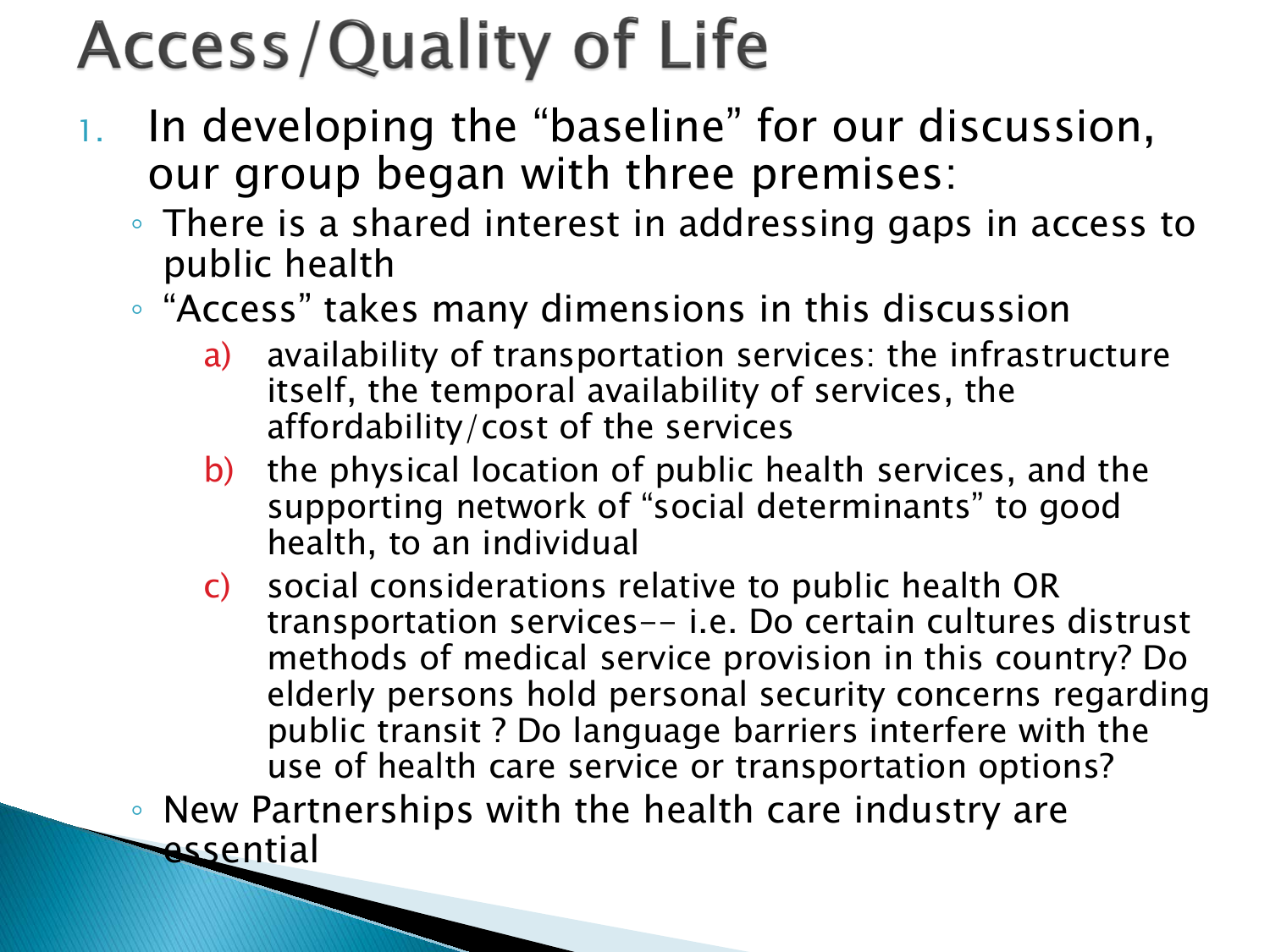## **Access/Quality of Life**

**The Company of the Company of the Company of the Company of the Company of the Company of The Company of The Company of The Company of The Company of The Company of The Company of The Company of The Company of The Company** 

- 1. In developing the "baseline" for our discussion, our group began with three premises:
	- There is a shared interest in addressing gaps in access to public health
	- "Access" takes many dimensions in this discussion
		- a) availability of transportation services: the infrastructure itself, the temporal availability of services, the affordability/cost of the services
		- b) the physical location of public health services, and the supporting network of "social determinants" to good health, to an individual
		- c) social considerations relative to public health OR transportation services-- i.e. Do certain cultures distrust methods of medical service provision in this country? Do elderly persons hold personal security concerns regarding public transit ? Do language barriers interfere with the use of health care service or transportation options?

◦ New Partnerships with the health care industry are essential